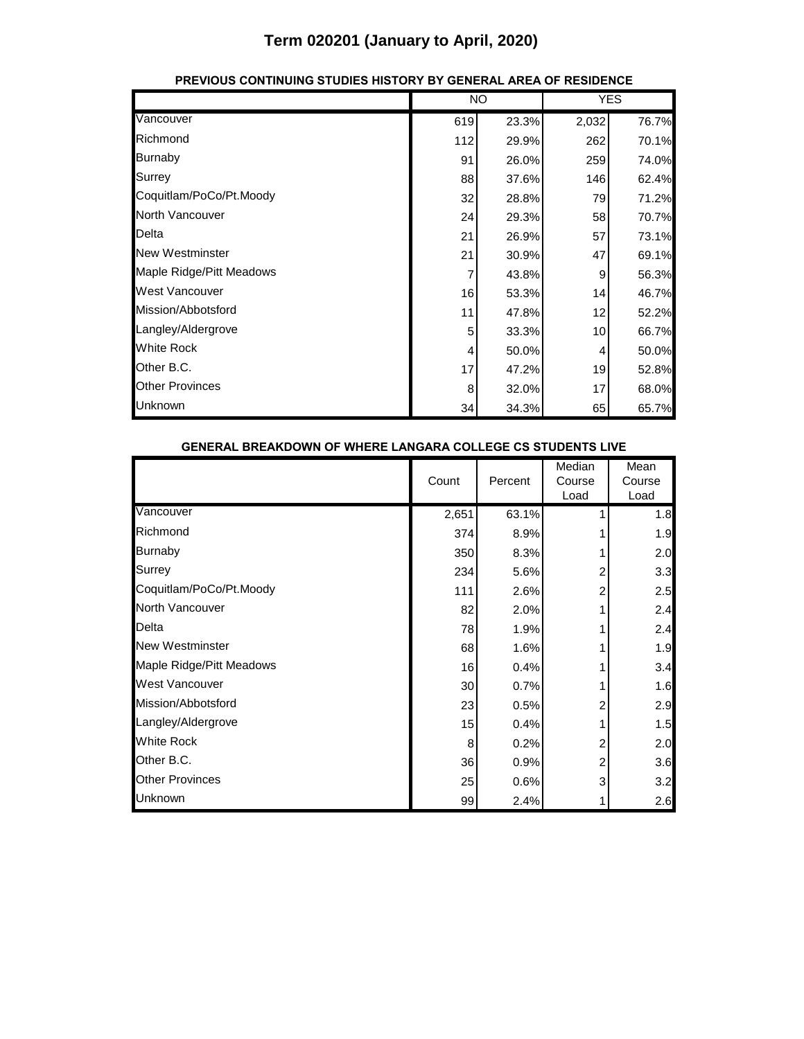|                          |     | <b>NO</b> |                 | <b>YES</b> |  |
|--------------------------|-----|-----------|-----------------|------------|--|
| Vancouver                | 619 | 23.3%     | 2,032           | 76.7%      |  |
| Richmond                 | 112 | 29.9%     | 262             | 70.1%      |  |
| <b>Burnaby</b>           | 91  | 26.0%     | 259             | 74.0%      |  |
| Surrey                   | 88  | 37.6%     | 146             | 62.4%      |  |
| Coquitlam/PoCo/Pt.Moody  | 32  | 28.8%     | 79              | 71.2%      |  |
| North Vancouver          | 24  | 29.3%     | 58              | 70.7%      |  |
| Delta                    | 21  | 26.9%     | 57              | 73.1%      |  |
| <b>New Westminster</b>   | 21  | 30.9%     | 47              | 69.1%      |  |
| Maple Ridge/Pitt Meadows |     | 43.8%     | 9               | 56.3%      |  |
| West Vancouver           | 16  | 53.3%     | 14              | 46.7%      |  |
| Mission/Abbotsford       | 11  | 47.8%     | 12              | 52.2%      |  |
| Langley/Aldergrove       | 5   | 33.3%     | 10 <sup>1</sup> | 66.7%      |  |
| <b>White Rock</b>        | 4   | 50.0%     | 4               | 50.0%      |  |
| Other B.C.               | 17  | 47.2%     | 19              | 52.8%      |  |
| <b>Other Provinces</b>   | 8   | 32.0%     | 17              | 68.0%      |  |
| Unknown                  | 34  | 34.3%     | 65              | 65.7%      |  |

#### **PREVIOUS CONTINUING STUDIES HISTORY BY GENERAL AREA OF RESIDENCE**

| <b>GENERAL BREAKDOWN OF WHERE LANGARA COLLEGE CS STUDENTS LIVE</b> |  |                 |         |                          |                        |
|--------------------------------------------------------------------|--|-----------------|---------|--------------------------|------------------------|
|                                                                    |  | Count           | Percent | Median<br>Course<br>Load | Mean<br>Course<br>Load |
| Vancouver                                                          |  | 2,651           | 63.1%   |                          | 1.8                    |
| Richmond                                                           |  | 374             | 8.9%    |                          | 1.9                    |
| <b>Burnaby</b>                                                     |  | 350             | 8.3%    |                          | 2.0                    |
| Surrey                                                             |  | 234             | 5.6%    | 2                        | 3.3                    |
| Coquitlam/PoCo/Pt.Moody                                            |  | 111             | 2.6%    | 2                        | 2.5                    |
| North Vancouver                                                    |  | 82              | 2.0%    |                          | 2.4                    |
| Delta                                                              |  | 78              | 1.9%    |                          | 2.4                    |
| <b>New Westminster</b>                                             |  | 68              | 1.6%    |                          | 1.9                    |
| Maple Ridge/Pitt Meadows                                           |  | 16              | 0.4%    |                          | 3.4                    |
| <b>West Vancouver</b>                                              |  | 30 <sup>°</sup> | 0.7%    |                          | 1.6                    |
| Mission/Abbotsford                                                 |  | 23              | 0.5%    | 2                        | 2.9                    |
| Langley/Aldergrove                                                 |  | 15              | 0.4%    |                          | 1.5                    |
| <b>White Rock</b>                                                  |  | 8               | 0.2%    | 2                        | 2.0                    |
| Other B.C.                                                         |  | 36              | 0.9%    | 2                        | 3.6                    |
| <b>Other Provinces</b>                                             |  | 25              | 0.6%    | 3                        | 3.2                    |
| Unknown                                                            |  | 99              | 2.4%    |                          | 2.6                    |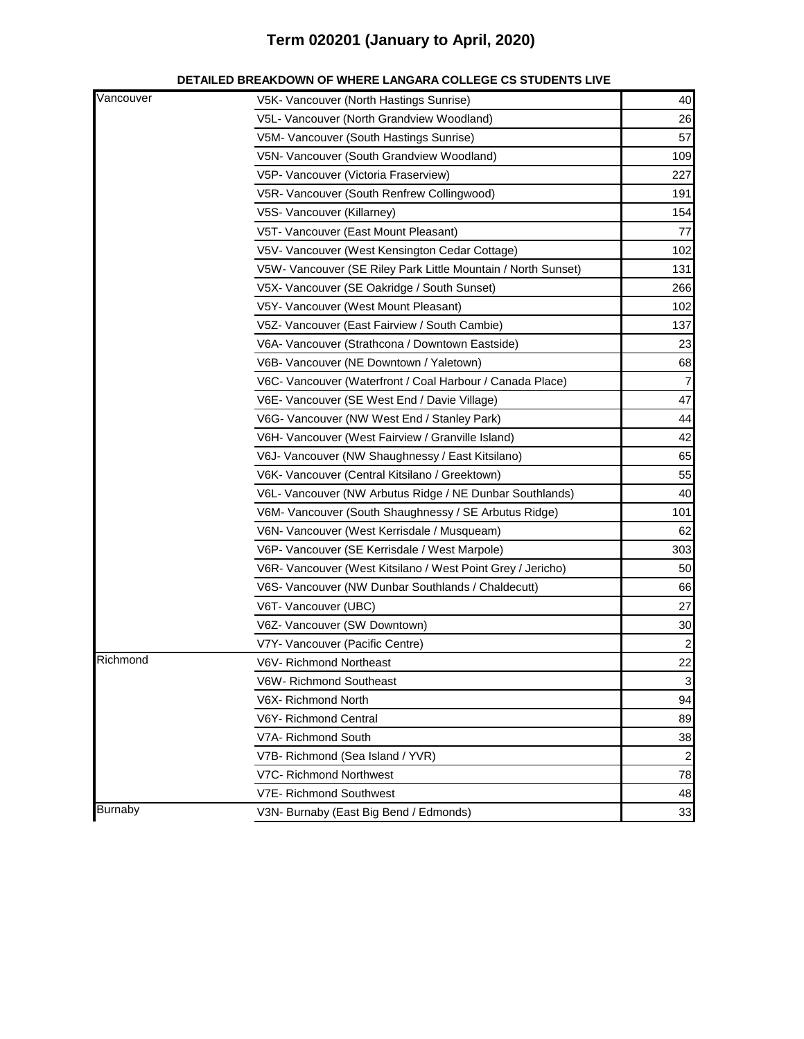| Vancouver      | V5K- Vancouver (North Hastings Sunrise)                       | 40             |
|----------------|---------------------------------------------------------------|----------------|
|                | V5L- Vancouver (North Grandview Woodland)                     | 26             |
|                | V5M- Vancouver (South Hastings Sunrise)                       | 57             |
|                | V5N- Vancouver (South Grandview Woodland)                     | 109            |
|                | V5P- Vancouver (Victoria Fraserview)                          | 227            |
|                | V5R- Vancouver (South Renfrew Collingwood)                    | 191            |
|                | V5S- Vancouver (Killarney)                                    | 154            |
|                | V5T- Vancouver (East Mount Pleasant)                          | 77             |
|                | V5V- Vancouver (West Kensington Cedar Cottage)                | 102            |
|                | V5W- Vancouver (SE Riley Park Little Mountain / North Sunset) | 131            |
|                | V5X- Vancouver (SE Oakridge / South Sunset)                   | 266            |
|                | V5Y- Vancouver (West Mount Pleasant)                          | 102            |
|                | V5Z- Vancouver (East Fairview / South Cambie)                 | 137            |
|                | V6A- Vancouver (Strathcona / Downtown Eastside)               | 23             |
|                | V6B- Vancouver (NE Downtown / Yaletown)                       | 68             |
|                | V6C- Vancouver (Waterfront / Coal Harbour / Canada Place)     | 7              |
|                | V6E- Vancouver (SE West End / Davie Village)                  | 47             |
|                | V6G- Vancouver (NW West End / Stanley Park)                   | 44             |
|                | V6H- Vancouver (West Fairview / Granville Island)             | 42             |
|                | V6J- Vancouver (NW Shaughnessy / East Kitsilano)              | 65             |
|                | V6K- Vancouver (Central Kitsilano / Greektown)                | 55             |
|                | V6L- Vancouver (NW Arbutus Ridge / NE Dunbar Southlands)      | 40             |
|                | V6M- Vancouver (South Shaughnessy / SE Arbutus Ridge)         | 101            |
|                | V6N- Vancouver (West Kerrisdale / Musqueam)                   | 62             |
|                | V6P- Vancouver (SE Kerrisdale / West Marpole)                 | 303            |
|                | V6R- Vancouver (West Kitsilano / West Point Grey / Jericho)   | 50             |
|                | V6S- Vancouver (NW Dunbar Southlands / Chaldecutt)            | 66             |
|                | V6T- Vancouver (UBC)                                          | 27             |
|                | V6Z- Vancouver (SW Downtown)                                  | 30             |
|                | V7Y- Vancouver (Pacific Centre)                               | $\mathbf{2}$   |
| Richmond       | V6V- Richmond Northeast                                       | 22             |
|                | V6W- Richmond Southeast                                       | $\frac{3}{2}$  |
|                | V6X- Richmond North                                           | 94             |
|                | V6Y- Richmond Central                                         | 89             |
|                | V7A- Richmond South                                           | 38             |
|                | V7B- Richmond (Sea Island / YVR)                              | $\overline{c}$ |
|                | V7C- Richmond Northwest                                       | 78             |
|                | V7E- Richmond Southwest                                       | 48             |
| <b>Burnaby</b> | V3N- Burnaby (East Big Bend / Edmonds)                        | 33             |

#### **DETAILED BREAKDOWN OF WHERE LANGARA COLLEGE CS STUDENTS LIVE**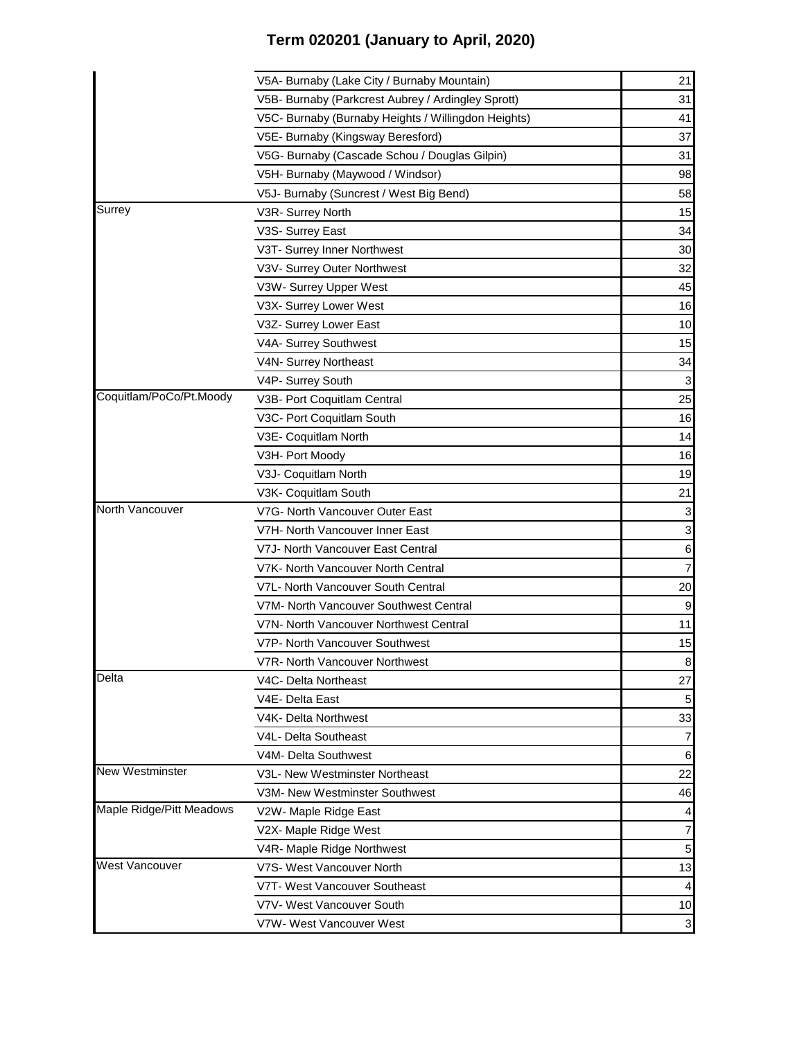|                          | V5A- Burnaby (Lake City / Burnaby Mountain)         | 21               |
|--------------------------|-----------------------------------------------------|------------------|
|                          | V5B- Burnaby (Parkcrest Aubrey / Ardingley Sprott)  | 31               |
|                          | V5C- Burnaby (Burnaby Heights / Willingdon Heights) | 41               |
|                          | V5E- Burnaby (Kingsway Beresford)                   | 37               |
|                          | V5G- Burnaby (Cascade Schou / Douglas Gilpin)       | 31               |
|                          | V5H- Burnaby (Maywood / Windsor)                    | 98               |
|                          | V5J- Burnaby (Suncrest / West Big Bend)             | 58               |
| Surrey                   | V3R- Surrey North                                   | 15               |
|                          | V3S- Surrey East                                    | 34               |
|                          | V3T- Surrey Inner Northwest                         | 30               |
|                          | V3V- Surrey Outer Northwest                         | 32               |
|                          | V3W- Surrey Upper West                              | 45               |
|                          | V3X- Surrey Lower West                              | 16               |
|                          | V3Z- Surrey Lower East                              | 10               |
|                          | V4A- Surrey Southwest                               | 15               |
|                          | V4N- Surrey Northeast                               | 34               |
|                          | V4P- Surrey South                                   | $\mathbf{3}$     |
| Coquitlam/PoCo/Pt.Moody  | V3B- Port Coquitlam Central                         | 25               |
|                          | V3C- Port Coquitlam South                           | 16               |
|                          | V3E- Coquitlam North                                | 14               |
|                          | V3H- Port Moody                                     | 16               |
|                          | V3J- Coquitlam North                                | 19               |
|                          | V3K- Coquitlam South                                | 21               |
| North Vancouver          | V7G- North Vancouver Outer East                     | $\mathbf{3}$     |
|                          | V7H- North Vancouver Inner East                     | $\mathbf{3}$     |
|                          | V7J- North Vancouver East Central                   | $6 \overline{6}$ |
|                          | V7K- North Vancouver North Central                  | $\overline{7}$   |
|                          | V7L- North Vancouver South Central                  | 20               |
|                          | V7M- North Vancouver Southwest Central              | $9\,$            |
|                          | V7N- North Vancouver Northwest Central              | 11               |
|                          | V7P- North Vancouver Southwest                      | 15               |
|                          | V7R- North Vancouver Northwest                      | ଧ                |
| <b>Delta</b>             | V4C- Delta Northeast                                | 27               |
|                          | V4E- Delta East                                     | 5 <sub>5</sub>   |
|                          | V4K- Delta Northwest                                | 33               |
|                          | V4L- Delta Southeast                                | $\overline{7}$   |
|                          | V4M- Delta Southwest                                | $6 \,$           |
| <b>New Westminster</b>   | V3L- New Westminster Northeast                      | 22               |
|                          | V3M- New Westminster Southwest                      | 46               |
| Maple Ridge/Pitt Meadows | V2W- Maple Ridge East                               | 4                |
|                          | V2X- Maple Ridge West                               | $\overline{7}$   |
|                          | V4R- Maple Ridge Northwest                          | $5\overline{)}$  |
| <b>West Vancouver</b>    | V7S- West Vancouver North                           | 13               |
|                          | V7T- West Vancouver Southeast                       | $\vert$          |
|                          | V7V- West Vancouver South                           | 10               |
|                          | V7W- West Vancouver West                            | $\mathbf{3}$     |